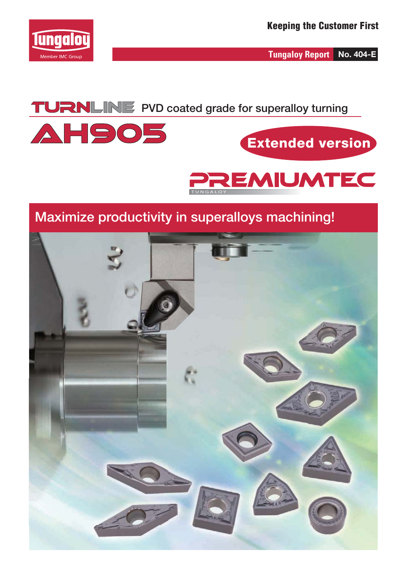

**Tungaloy Report No. 404-E**

### **TURNLINE** PVD coated grade for superalloy turning



## **Extended version**



#### **Maximize productivity in superalloys machining!**

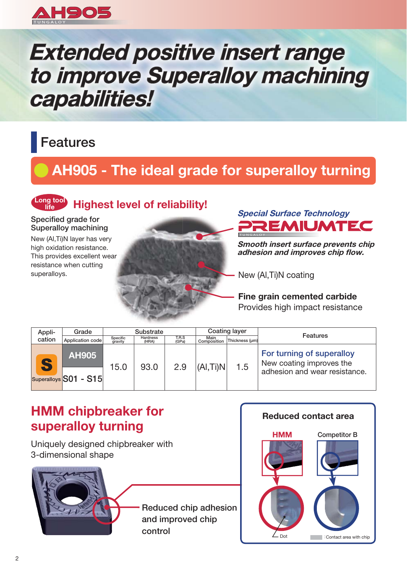

# **Extended positive insert range** to improve Superalloy machining capabilities!

### **Features**

### **AH905 - The ideal grade for superalloy turning**

#### **Long tool life Highest level of reliability!**

**Specified grade for Superalloy machining**

New (Al,Ti)N layer has very high oxidation resistance. This provides excellent wear resistance when cutting superalloys.





**Smooth insert surface prevents chip adhesion and improves chip flow.** 

New (Al,Ti)N coating

**Fine grain cemented carbide** Provides high impact resistance

| Appli- | Grade                                 |                     | <b>Substrate</b>  |                |                     | Coating layer  |                                                                                        |
|--------|---------------------------------------|---------------------|-------------------|----------------|---------------------|----------------|----------------------------------------------------------------------------------------|
| cation | Application code                      | Specific<br>gravity | Hardness<br>(HRA) | T.R.S<br>(GPa) | Main<br>Composition | Thickness (um) | Features                                                                               |
|        | <b>AH905</b><br>Superalloys S01 - S15 | 15.0                | 93.0              | 2.9            | $ $ (Al,Ti)N $ $    | 1.5            | For turning of superalloy<br>New coating improves the<br>adhesion and wear resistance. |

#### **HMM chipbreaker for superalloy turning**

Uniquely designed chipbreaker with 3-dimensional shape



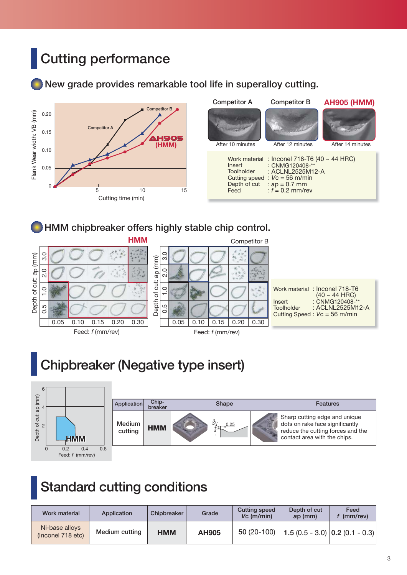## **Cutting performance**

#### **New grade provides remarkable tool life in superalloy cutting.**



#### **HMM chipbreaker offers highly stable chip control.**



### **Chipbreaker (Negative type insert)**



### **Standard cutting conditions**

| Work material                       | Application    | Chipbreaker | Grade        | <b>Cutting speed</b><br>$Vc$ (m/min) | Depth of cut<br>ap (mm)               | Feed<br>$(mm$ /rev $)$ |
|-------------------------------------|----------------|-------------|--------------|--------------------------------------|---------------------------------------|------------------------|
| Ni-base alloys<br>(Inconel 718 etc) | Medium cutting | <b>HMM</b>  | <b>AH905</b> | $50(20-100)$                         | 1.5 $(0.5 - 3.0)$ $(0.2 (0.1 - 0.3))$ |                        |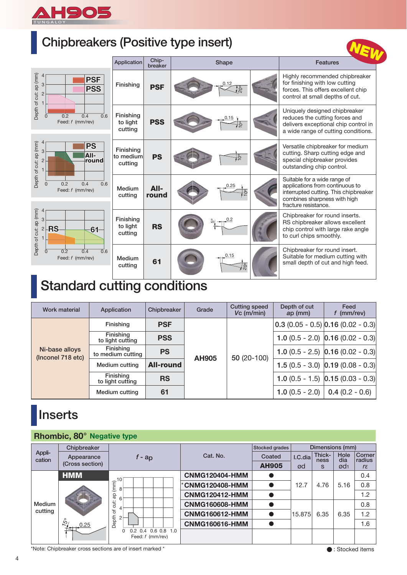

### **Chipbreakers (Positive type insert)**

| Uniporeakers (Positive type insert)                                                            |                                   |                  |                         |                                                                                                                                                                  |
|------------------------------------------------------------------------------------------------|-----------------------------------|------------------|-------------------------|------------------------------------------------------------------------------------------------------------------------------------------------------------------|
|                                                                                                | Application                       | Chip-<br>breaker | Shape                   | <b>Features</b>                                                                                                                                                  |
| Depth of cut: ap (mm)<br>$\overline{4}$<br><b>PSF</b><br>3<br><b>PSS</b><br>$\overline{2}$     | Finishing                         | <b>PSF</b>       | 0.12<br>$\frac{1}{20}$  | Highly recommended chipbreaker<br>for finishing with low cutting<br>forces. This offers excellent chip<br>control at small depths of cut.                        |
| $\overline{0.6}$<br>0.2<br>0.4<br>$\Omega$<br>Feed: f (mm/rev)                                 | Finishing<br>to light<br>cutting  | <b>PSS</b>       | 0.15<br>10 <sup>o</sup> | Uniquely designed chipbreaker<br>reduces the cutting forces and<br>delivers exceptional chip control in<br>a wide range of cutting conditions.                   |
| $\overline{4}$<br>Depth of cut: ap (mm)<br><b>PS</b><br>3<br>All-<br>$\overline{2}$<br>round   | Finishing<br>to medium<br>cutting | <b>PS</b>        | $\overline{p}$          | Versatile chipbreaker for medium<br>cutting. Sharp cutting edge and<br>special chipbreaker provides<br>outstanding chip control.                                 |
| 0.2<br>0.6<br>$\mathbf{0}$<br>0.4<br>Feed: f (mm/rev)                                          | Medium<br>cutting                 | All-<br>round    | 0.25                    | Suitable for a wide range of<br>applications from continuous to<br>interrupted cutting. This chipbreaker<br>combines sharpness with high<br>fracture resistance. |
| Depth of cut: ap (mm)<br>$\overline{3}$<br><b>RS</b><br>$\overline{2}$<br>61<br>$\overline{1}$ | Finishing<br>to light<br>cutting  | <b>RS</b>        | 0.2<br>ပြေ              | Chipbreaker for round inserts.<br>RS chipbreaker allows excellent<br>chip control with large rake angle<br>to curl chips smoothly.                               |
| $\overline{0.2}$<br>0.4<br>$\overline{0.6}$<br>$\Omega$<br>Feed: f (mm/rev)                    | Medium<br>cutting                 | 61               | 0.15<br>/နိ             | Chipbreaker for round insert.<br>Suitable for medium cutting with<br>small depth of cut and high feed.                                                           |

### **Standard cutting conditions**

| <b>Work material</b>                | Application                    | Chipbreaker      | Grade        | <b>Cutting speed</b><br>$Vc$ (m/min) | Depth of cut<br>ap (mm) | Feed<br>$f$ (mm/rev)                  |
|-------------------------------------|--------------------------------|------------------|--------------|--------------------------------------|-------------------------|---------------------------------------|
|                                     | Finishing                      | <b>PSF</b>       |              |                                      |                         | $0.3(0.05 - 0.5)$ 0.16 (0.02 - 0.3)   |
|                                     | Finishing<br>to light cutting  | <b>PSS</b>       |              |                                      |                         | 1.0 $(0.5 - 2.0)$ 0.16 $(0.02 - 0.3)$ |
| Ni-base alloys<br>(Inconel 718 etc) | Finishing<br>to medium cutting | <b>PS</b>        | <b>AH905</b> | 50 (20-100)                          |                         | 1.0 $(0.5 - 2.5)$ 0.16 $(0.02 - 0.3)$ |
|                                     | Medium cutting                 | <b>All-round</b> |              |                                      |                         | 1.5 $(0.5 - 3.0)$ 0.19 $(0.08 - 0.3)$ |
|                                     | Finishing<br>to light cutting  | <b>RS</b>        |              |                                      |                         | 1.0 $(0.5 - 1.5)$ 0.15 $(0.03 - 0.3)$ |
|                                     | Medium cutting                 | 61               |              |                                      | $1.0(0.5 - 2.0)$        | $0.4(0.2 - 0.6)$                      |

### **Inserts**

#### **Rhombic, 80° Negative type**

|                  | <u>.</u>                                                                              |                                                        |                       |                |         |                 |                 |                  |
|------------------|---------------------------------------------------------------------------------------|--------------------------------------------------------|-----------------------|----------------|---------|-----------------|-----------------|------------------|
|                  | Chipbreaker                                                                           |                                                        |                       | Stocked grades |         | Dimensions (mm) |                 |                  |
| Appli-<br>cation | Appearance                                                                            | $f - ap$                                               | Cat. No.              | Coated         | I.C.dia | Thick-<br>ness  | Hole<br>dia     | Corner<br>radius |
|                  | (Cross section)                                                                       |                                                        |                       | <b>AH905</b>   | ød      | S               | Ød <sub>1</sub> | $r\varepsilon$   |
|                  | <b>HMM</b>                                                                            |                                                        | <b>CNMG120404-HMM</b> |                |         |                 |                 | 0.4              |
|                  |                                                                                       | $\sqrt{\frac{2}{5}}^{10}$                              | <b>CNMG120408-HMM</b> |                | 12.7    | 4.76            | 5.16            | 0.8              |
|                  |                                                                                       | qp<br>6                                                | <b>CNMG120412-HMM</b> |                |         |                 |                 | 1.2              |
| Medium           |                                                                                       | ti.<br>4                                               | <b>CNMG160608-HMM</b> |                |         |                 |                 | 0.8              |
| cutting          |                                                                                       | ৳                                                      | <b>CNMG160612-HMM</b> |                | 15.875  | 6.35            | 6.35            | 1.2              |
|                  | $\omega$<br>0.25                                                                      | Depth                                                  | <b>CNMG160616-HMM</b> |                |         |                 |                 | 1.6              |
|                  |                                                                                       | 0.4<br>$0.6$ $0.8$ 1.0<br>0<br>0.2<br>Feed: f (mm/rev) |                       |                |         |                 |                 |                  |
|                  | *Note: Chipbreaker cross sections are of insert marked *<br>$\bullet$ : Stocked items |                                                        |                       |                |         |                 |                 |                  |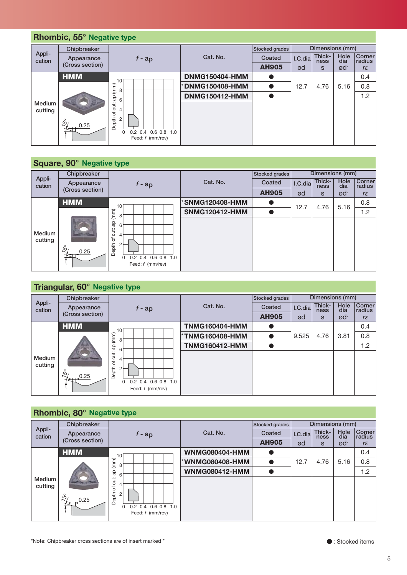#### *f* **- ap Coated I.C.dia** Thick- Hole Corn<br> **AH905** ød s ød1 *rε* **HMM**  $\overline{\phantom{a}10}$  **DNMG150404-HMM**  $\bullet$  $\bullet$  | 12.7 | 4.76 | 5.16 | 0.8 0.4 \***DNMG150408-HMM** -**DNMG150412-HMM**  $\bullet$  $\bullet$  | | | | 1.2 0 0.2 0.4 0.6 0.8 1.0 10 8 6 4 2 15º 0.25  **Rhombic, 55° Negative type Medium cutting** Appli-**Chipbreaker** Appli-<br> **Cation** Appearance *Appearance F* - ap Cat. No. **Stocked grades Coated Dimensions (mm) I.C.dia Thick- Hole Corner ness dia radius** Feed: *f* (mm/rev)

|                   | Square, 90° Negative type |                                                                                              |                       |                |         |                 |                 |                  |
|-------------------|---------------------------|----------------------------------------------------------------------------------------------|-----------------------|----------------|---------|-----------------|-----------------|------------------|
|                   | Chipbreaker               |                                                                                              |                       | Stocked grades |         | Dimensions (mm) |                 |                  |
| Appli-<br>cation  | Appearance                | $f - ap$                                                                                     | Cat. No.              | Coated         | I.C.dia | Thick-<br>ness  | Hole<br>dia     | Corner<br>radius |
|                   | (Cross section)           |                                                                                              |                       | <b>AH905</b>   | ød      | S               | ød <sub>1</sub> | $r\varepsilon$   |
|                   | <b>HMM</b>                | 10                                                                                           | *SNMG120408-HMM       |                | 12.7    | 4.76            | 5.16            | 0.8              |
|                   |                           | (mm)<br>8                                                                                    | <b>SNMG120412-HMM</b> |                |         |                 |                 | 1.2              |
| Medium<br>cutting | မိ<br>0.25                | đĐ<br>6<br>cut:<br>4<br>Depth of<br>2<br>0.2 0.4 0.6 0.8 1.0<br>$\Omega$<br>Feed: f (mm/rev) |                       |                |         |                 |                 |                  |

|                   |                               | 8                                                               | <b>DNMG150408-HMM</b> | o                         | 12.7    | 4.76                      | 5.16               | 0.8                   |
|-------------------|-------------------------------|-----------------------------------------------------------------|-----------------------|---------------------------|---------|---------------------------|--------------------|-----------------------|
|                   |                               |                                                                 | <b>DNMG150412-HMM</b> |                           |         |                           |                    | 1.2                   |
| Medium<br>cutting |                               | Depth of cut: ap (mm)<br>6<br>$\overline{4}$                    |                       |                           |         |                           |                    |                       |
|                   |                               | $\overline{2}$                                                  |                       |                           |         |                           |                    |                       |
|                   | 0.25                          | 0.2 0.4 0.6 0.8 1.0                                             |                       |                           |         |                           |                    |                       |
|                   |                               | 0<br>Feed: f (mm/rev)                                           |                       |                           |         |                           |                    |                       |
|                   |                               |                                                                 |                       |                           |         |                           |                    |                       |
|                   | Square, 90° Negative type     |                                                                 |                       |                           |         |                           |                    |                       |
| Appli-            | Chipbreaker                   |                                                                 |                       | Stocked grades            |         | Dimensions (mm)           |                    |                       |
| cation            | Appearance                    | $f - ap$                                                        | Cat. No.              | Coated                    | I.C.dia | Thick-<br>ness            | <b>Hole</b><br>dia | Corner<br>radius      |
|                   | (Cross section)               |                                                                 |                       | <b>AH905</b>              | ød      | S                         | Ød1                | $r\varepsilon$        |
|                   | <b>HMM</b>                    | 10                                                              | <b>SNMG120408-HMM</b> | 0                         | 12.7    | 4.76                      | 5.16               | 0.8                   |
|                   |                               | 8                                                               | <b>SNMG120412-HMM</b> | $\bullet$                 |         |                           |                    | 1.2                   |
|                   |                               | Depth of cut: ap (mm)<br>6                                      |                       |                           |         |                           |                    |                       |
| Medium<br>cutting |                               | $\overline{4}$                                                  |                       |                           |         |                           |                    |                       |
|                   | 0.25                          | $\overline{c}$                                                  |                       |                           |         |                           |                    |                       |
|                   |                               | $0.2$ 0.4 0.6 0.8 1.0<br>0                                      |                       |                           |         |                           |                    |                       |
|                   |                               | Feed: f (mm/rev)                                                |                       |                           |         |                           |                    |                       |
|                   |                               |                                                                 |                       |                           |         |                           |                    |                       |
|                   | Triangular, 60° Negative type |                                                                 |                       |                           |         |                           |                    |                       |
| Appli-            | Chipbreaker                   |                                                                 |                       | Stocked grades            |         | Dimensions (mm)<br>Thick- | <b>Hole</b>        | Corner                |
| cation            | Appearance<br>(Cross section) | $f - ap$                                                        | Cat. No.              | Coated                    | I.C.dia | ness                      | dia                | radius                |
|                   | <b>HMM</b>                    |                                                                 | <b>TNMG160404-HMM</b> | <b>AH905</b><br>$\bullet$ | ød      | S                         | Ød <sub>1</sub>    | $r\varepsilon$<br>0.4 |
|                   |                               |                                                                 | *TNMG160408-HMM       | $\bullet$                 | 9.525   | 4.76                      | 3.81               | 0.8                   |
|                   |                               |                                                                 |                       |                           |         |                           |                    |                       |
|                   |                               |                                                                 |                       |                           |         |                           |                    |                       |
|                   |                               |                                                                 | <b>TNMG160412-HMM</b> | $\bullet$                 |         |                           |                    | 1.2                   |
| Medium<br>cutting |                               |                                                                 |                       |                           |         |                           |                    |                       |
|                   |                               |                                                                 |                       |                           |         |                           |                    |                       |
|                   | 0.25                          | A<br>Depth of cut: ap (mm)<br>← ∞ o<br>0.2 0.4 0.6 0.8 1.0<br>0 |                       |                           |         |                           |                    |                       |
|                   |                               | Feed: f (mm/rev)                                                |                       |                           |         |                           |                    |                       |
|                   |                               |                                                                 |                       |                           |         |                           |                    |                       |
|                   | Rhombic, 80° Negative type    |                                                                 |                       |                           |         |                           |                    |                       |
| Appli-            | Chipbreaker                   |                                                                 |                       | Stocked grades            |         | Dimensions (mm)           |                    |                       |
| cation            | Appearance<br>(Cross section) | $f - ap$                                                        | Cat. No.              | Coated                    | I.C.dia | Thick-<br>ness            | Hole<br>dia        | Corner<br>radius      |
|                   |                               |                                                                 |                       | <b>AH905</b>              | ød      | S                         | ød <sub>1</sub>    | $r \varepsilon$       |
|                   | <b>HMM</b>                    | 10                                                              | <b>WNMG080404-HMM</b> | o                         |         |                           |                    | 0.4                   |
|                   |                               | 8                                                               | <b>WNMG080408-HMM</b> | $\bullet$<br>●            | 12.7    | 4.76                      | 5.16               | 0.8                   |
| Medium            |                               | 6                                                               | <b>WNMG080412-HMM</b> |                           |         |                           |                    | 1.2                   |
| cutting           |                               | $\overline{4}$                                                  |                       |                           |         |                           |                    |                       |
|                   | 0.25                          | Depth of cut: ap (mm)<br>$\sqrt{2}$                             |                       |                           |         |                           |                    |                       |
|                   |                               | 0.2 0.4 0.6 0.8 1.0<br>0<br>Feed: f (mm/rev)                    |                       |                           |         |                           |                    |                       |
|                   |                               |                                                                 |                       |                           |         |                           |                    |                       |
|                   |                               |                                                                 |                       |                           |         |                           |                    |                       |

|                   | <b>Rhombic, 80° Negative type</b> |                                                                                       |                       |                |         |                 |                 |                  |
|-------------------|-----------------------------------|---------------------------------------------------------------------------------------|-----------------------|----------------|---------|-----------------|-----------------|------------------|
|                   | Chipbreaker                       |                                                                                       |                       | Stocked grades |         | Dimensions (mm) |                 |                  |
| Appli-<br>cation  | Appearance                        | $f$ - ap                                                                              | Cat. No.              | Coated         | I.C.dia | Thick-<br>ness  | Hole<br>dia     | Corner<br>radius |
|                   | (Cross section)                   |                                                                                       |                       | <b>AH905</b>   | ød      | S               | Ød <sub>1</sub> | $r \varepsilon$  |
|                   | <b>HMM</b>                        | 10                                                                                    | <b>WNMG080404-HMM</b> |                |         |                 |                 | 0.4              |
|                   |                                   | (mm)<br>8                                                                             | *WNMG080408-HMM       |                | 12.7    | 4.76            | 5.16            | 0.8              |
|                   |                                   | qp<br>6                                                                               | <b>WNMG080412-HMM</b> |                |         |                 |                 | 1.2              |
| Medium<br>cutting |                                   | cut:<br>4                                                                             |                       |                |         |                 |                 |                  |
|                   | $\mathring{\mathcal{C}}$<br>0.25  | $\rm \overline{o}$<br>Depth<br>$0.6$ $0.8$ 1.0<br>0.2<br>0.4<br>0<br>Feed: f (mm/rev) |                       |                |         |                 |                 |                  |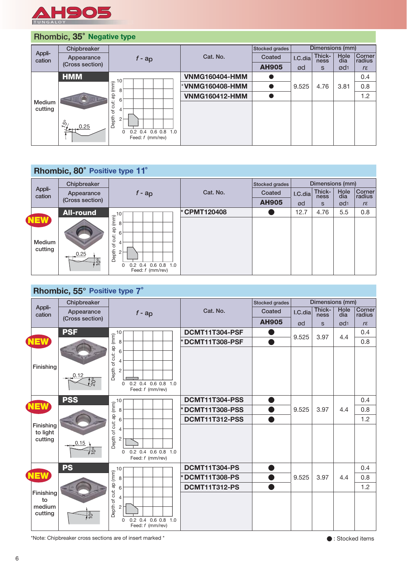

#### **Rhombic, 35**° **Negative type**

|                   | Chipbreaker                      |                                                              |                       | Stocked grades |         | Dimensions (mm) |                 |                  |
|-------------------|----------------------------------|--------------------------------------------------------------|-----------------------|----------------|---------|-----------------|-----------------|------------------|
| Appli-<br>cation  | Appearance                       | $f$ - ap                                                     | Cat. No.              | Coated         | I.C.dia | Thick-<br>ness  | Hole<br>dia     | Corner<br>radius |
|                   | (Cross section)                  |                                                              |                       | <b>AH905</b>   | ød      | S               | ød <sub>1</sub> | $r \varepsilon$  |
|                   | <b>HMM</b>                       | 10                                                           | <b>VNMG160404-HMM</b> |                |         |                 |                 | 0.4              |
|                   |                                  | (mm)<br>8                                                    | *VNMG160408-HMM       |                | 9.525   | 4.76            | 3.81            | 0.8              |
|                   |                                  | qp<br>6                                                      | <b>VNMG160412-HMM</b> |                |         |                 |                 | 1.2              |
| Medium<br>cutting |                                  | cut:<br>4<br>đ                                               |                       |                |         |                 |                 |                  |
|                   | $\mathring{\mathcal{L}}$<br>0.25 | Depth<br>2<br>$0.2$ 0.4 0.6 0.8 1.0<br>0<br>Feed: f (mm/rev) |                       |                |         |                 |                 |                  |

#### **Rhombic, 80**° **Positive type 11**°

|                                        | Chipbreaker       |                                                                                                        |             | Stocked grades |         | Dimensions (mm) |                 |                         |
|----------------------------------------|-------------------|--------------------------------------------------------------------------------------------------------|-------------|----------------|---------|-----------------|-----------------|-------------------------|
| Appli-<br>cation                       | Appearance        | $f$ - ap                                                                                               | Cat. No.    | Coated         | I.C.dia | Thick-<br>ness  | Hole<br>dia     | <b>Corner</b><br>radius |
|                                        | (Cross section)   |                                                                                                        |             | <b>AH905</b>   | ød      | S               | Ød <sub>1</sub> | $r\varepsilon$          |
|                                        | <b>All-round</b>  | 10                                                                                                     | *CPMT120408 |                | 12.7    | 4.76            | 5.5             | 0.8                     |
| <b>NEW</b><br><b>Medium</b><br>cutting | 0.25<br>$\approx$ | (mm)<br>8<br>qp<br>6<br>cut:<br>4<br>đ<br>Depth<br>2<br>$0.2$ 0.4 0.6 0.8 1.0<br>0<br>Feed: f (mm/rev) |             |                |         |                 |                 |                         |

#### **Rhombic, 55° Positive type 7**°

|                                      | Chipbreaker                       |                                                                                                                            |                       | Stocked grades |         | Dimensions (mm) |                 |                  |
|--------------------------------------|-----------------------------------|----------------------------------------------------------------------------------------------------------------------------|-----------------------|----------------|---------|-----------------|-----------------|------------------|
| Appli-<br>cation                     | Appearance                        | $f$ - ap                                                                                                                   | Cat. No.              | Coated         | I.C.dia | Thick-<br>ness  | Hole<br>dia     | Corner<br>radius |
|                                      | (Cross section)                   |                                                                                                                            |                       | <b>AH905</b>   | ød      | $\mathbf{s}$    | Ød <sub>1</sub> | $r\varepsilon$   |
|                                      | <b>PSF</b>                        |                                                                                                                            | DCMT11T304-PSF        |                |         |                 |                 | 0.4              |
| <b>NEW</b>                           |                                   |                                                                                                                            | DCMT11T308-PSF        |                | 9.525   | 3.97            | 4.4             | 0.8              |
| Finishing                            | 0.12<br>$\overset{\circ}{\alpha}$ | Depth of cut: ap (mm)<br>- m<br>- m<br>- m<br>-<br>0.2 0.4 0.6 0.8 1.0<br>$\Omega$<br>Feed: f (mm/rev)                     |                       |                |         |                 |                 |                  |
|                                      | <b>PSS</b>                        |                                                                                                                            | DCMT11T304-PSS        |                |         |                 |                 | 0.4              |
| <b>NEW</b>                           |                                   |                                                                                                                            | DCMT11T308-PSS        |                | 9.525   | 3.97            | 4.4             | 0.8              |
|                                      |                                   |                                                                                                                            | <b>DCMT11T312-PSS</b> |                |         |                 |                 | 1.2              |
| Finishing<br>to light<br>cutting     | 0.15<br>$\frac{6}{5}$             | Depth of cut: ap (mm)<br>$\frac{1}{2}$<br>$\frac{1}{2}$<br>$\frac{1}{2}$<br>$0.2$ 0.4 0.6 0.8 1.0<br>0<br>Feed: f (mm/rev) |                       |                |         |                 |                 |                  |
|                                      | <b>PS</b>                         | 10                                                                                                                         | <b>DCMT11T304-PS</b>  |                |         |                 |                 | 0.4              |
| <b>NEW</b>                           |                                   | 8                                                                                                                          | <b>DCMT11T308-PS</b>  |                | 9.525   | 3.97            | 4.4             | 0.8              |
|                                      |                                   | 6                                                                                                                          | <b>DCMT11T312-PS</b>  |                |         |                 |                 | 1.2              |
| Finishing<br>to<br>medium<br>cutting | $10^{\circ}$                      | Depth of cut: ap (mm)<br>4<br>$\overline{c}$<br>$0.2$ 0.4 0.6 0.8 1.0<br>$\Omega$<br>Feed: f (mm/rev)                      |                       |                |         |                 |                 |                  |

\*Note: Chipbreaker cross sections are of insert marked  $*$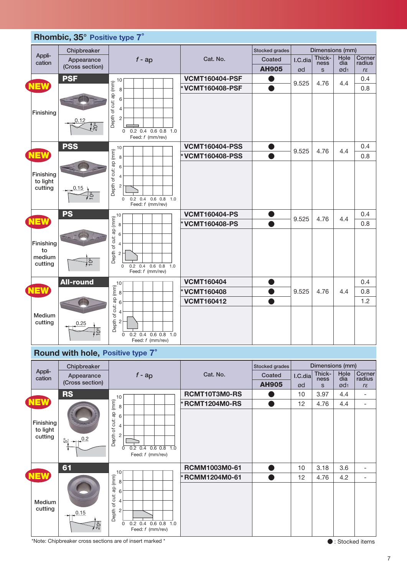

#### **Round with hole, Positive type 7**°

|                                  | Chipbreaker         |                                                                                                                    |                       | Stocked grades |         | Dimensions (mm) |                 |                              |
|----------------------------------|---------------------|--------------------------------------------------------------------------------------------------------------------|-----------------------|----------------|---------|-----------------|-----------------|------------------------------|
| Appli-<br>cation                 | Appearance          | $f$ - ap                                                                                                           | Cat. No.              | Coated         | I.C.dia | Thick-<br>ness  | Hole<br>dia     | Corner<br>radius             |
|                                  | (Cross section)     |                                                                                                                    |                       | <b>AH905</b>   | ød      | S               | ød <sub>1</sub> | $r\varepsilon$               |
|                                  | <b>RS</b>           | 10                                                                                                                 | RCMT10T3M0-RS         |                | 10      | 3.97            | 4.4             | $\qquad \qquad \blacksquare$ |
| <b>NEW</b>                       |                     | ap (mm)<br>8                                                                                                       | <b>*RCMT1204M0-RS</b> |                | 12      | 4.76            | 4.4             | $\qquad \qquad \blacksquare$ |
| Finishing<br>to light<br>cutting | 0.2<br>မို          | 6<br>of cut:<br>$\overline{4}$<br><b>Depth</b><br>$\overline{c}$<br>$0.2$ 0.4 0.6 0.8 1.0<br>0<br>Feed: f (mm/rev) |                       |                |         |                 |                 |                              |
|                                  | 61                  |                                                                                                                    | RCMM1003M0-61         |                | 10      | 3.18            | 3.6             | $\qquad \qquad \blacksquare$ |
| <b>NEW</b>                       |                     | 10<br>(mm)                                                                                                         | *RCMM1204M0-61        |                | 12      | 4.76            | 4.2             | $\overline{\phantom{0}}$     |
| Medium<br>cutting                | 0.15<br><u>ါ်ခွ</u> | 8<br>ap<br>6<br>of cut:<br>4<br>Depth<br>$\overline{2}$<br>0.2 0.4 0.6 0.8 1.0<br>0<br>Feed: f (mm/rev)            |                       |                |         |                 |                 |                              |

\*Note: Chipbreaker cross sections are of insert marked \* -

: Stocked items